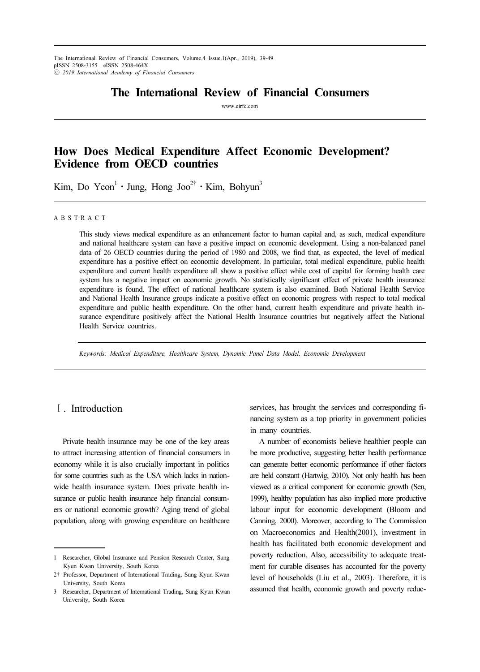# The International Review of Financial Consumers

www.eirfc.com

# How Does Medical Expenditure Affect Economic Development? Evidence from OECD countries

**EVIDENCE TROM OECD COUNTIES**<br>Kim, Do Yeon<sup>1</sup> · Jung, Hong Joo<sup>2†</sup> · Kim, Bohyun<sup>3</sup>

#### A B S T R A C T

This study views medical expenditure as an enhancement factor to human capital and, as such, medical expenditure and national healthcare system can have a positive impact on economic development. Using a non-balanced panel data of 26 OECD countries during the period of 1980 and 2008, we find that, as expected, the level of medical expenditure has a positive effect on economic development. In particular, total medical expenditure, public health expenditure and current health expenditure all show a positive effect while cost of capital for forming health care system has a negative impact on economic growth. No statistically significant effect of private health insurance expenditure is found. The effect of national healthcare system is also examined. Both National Health Service and National Health Insurance groups indicate a positive effect on economic progress with respect to total medical expenditure and public health expenditure. On the other hand, current health expenditure and private health insurance expenditure positively affect the National Health Insurance countries but negatively affect the National Health Service countries.

Keywords: Medical Expenditure, Healthcare System, Dynamic Panel Data Model, Economic Development

## Ⅰ. Introduction

Private health insurance may be one of the key areas to attract increasing attention of financial consumers in economy while it is also crucially important in politics for some countries such as the USA which lacks in nationwide health insurance system. Does private health insurance or public health insurance help financial consumers or national economic growth? Aging trend of global population, along with growing expenditure on healthcare services, has brought the services and corresponding financing system as a top priority in government policies in many countries.

A number of economists believe healthier people can be more productive, suggesting better health performance can generate better economic performance if other factors are held constant (Hartwig, 2010). Not only health has been viewed as a critical component for economic growth (Sen, 1999), healthy population has also implied more productive labour input for economic development (Bloom and Canning, 2000). Moreover, according to The Commission on Macroeconomics and Health(2001), investment in health has facilitated both economic development and poverty reduction. Also, accessibility to adequate treatment for curable diseases has accounted for the poverty level of households (Liu et al., 2003). Therefore, it is assumed that health, economic growth and poverty reduc-

<sup>1</sup> Researcher, Global Insurance and Pension Research Center, Sung Kyun Kwan University, South Korea

<sup>2</sup>† Professor, Department of International Trading, Sung Kyun Kwan University, South Korea

<sup>3</sup> Researcher, Department of International Trading, Sung Kyun Kwan University, South Korea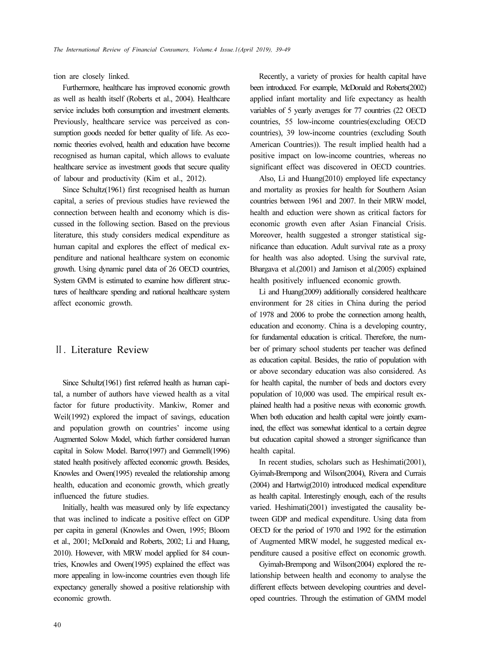tion are closely linked.

Furthermore, healthcare has improved economic growth as well as health itself (Roberts et al., 2004). Healthcare service includes both consumption and investment elements. Previously, healthcare service was perceived as consumption goods needed for better quality of life. As economic theories evolved, health and education have become recognised as human capital, which allows to evaluate healthcare service as investment goods that secure quality of labour and productivity (Kim et al., 2012).

Since Schultz(1961) first recognised health as human capital, a series of previous studies have reviewed the connection between health and economy which is discussed in the following section. Based on the previous literature, this study considers medical expenditure as human capital and explores the effect of medical expenditure and national healthcare system on economic growth. Using dynamic panel data of 26 OECD countries, System GMM is estimated to examine how different structures of healthcare spending and national healthcare system affect economic growth.

### Ⅱ. Literature Review

Since Schultz(1961) first referred health as human capital, a number of authors have viewed health as a vital factor for future productivity. Mankiw, Romer and Weil(1992) explored the impact of savings, education and population growth on countries' income using Augmented Solow Model, which further considered human capital in Solow Model. Barro(1997) and Gemmell(1996) stated health positively affected economic growth. Besides, Knowles and Owen(1995) revealed the relationship among health, education and economic growth, which greatly influenced the future studies.

Initially, health was measured only by life expectancy that was inclined to indicate a positive effect on GDP per capita in general (Knowles and Owen, 1995; Bloom et al., 2001; McDonald and Roberts, 2002; Li and Huang, 2010). However, with MRW model applied for 84 countries, Knowles and Owen(1995) explained the effect was more appealing in low-income countries even though life expectancy generally showed a positive relationship with economic growth.

Recently, a variety of proxies for health capital have been introduced. For example, McDonald and Roberts(2002) applied infant mortality and life expectancy as health variables of 5 yearly averages for 77 countries (22 OECD countries, 55 low-income countries(excluding OECD countries), 39 low-income countries (excluding South American Countries)). The result implied health had a positive impact on low-income countries, whereas no significant effect was discovered in OECD countries.

Also, Li and Huang(2010) employed life expectancy and mortality as proxies for health for Southern Asian countries between 1961 and 2007. In their MRW model, health and eduction were shown as critical factors for economic growth even after Asian Financial Crisis. Moreover, health suggested a stronger statistical significance than education. Adult survival rate as a proxy for health was also adopted. Using the survival rate, Bhargava et al.(2001) and Jamison et al.(2005) explained health positively influenced economic growth.

Li and Huang(2009) additionally considered healthcare environment for 28 cities in China during the period of 1978 and 2006 to probe the connection among health, education and economy. China is a developing country, for fundamental education is critical. Therefore, the number of primary school students per teacher was defined as education capital. Besides, the ratio of population with or above secondary education was also considered. As for health capital, the number of beds and doctors every population of 10,000 was used. The empirical result explained health had a positive nexus with economic growth. When both education and health capital were jointly examined, the effect was somewhat identical to a certain degree but education capital showed a stronger significance than health capital.

In recent studies, scholars such as Heshimati(2001), Gyimah-Brempong and Wilson(2004), Rivera and Currais (2004) and Hartwig(2010) introduced medical expenditure as health capital. Interestingly enough, each of the results varied. Heshimati(2001) investigated the causality between GDP and medical expenditure. Using data from OECD for the period of 1970 and 1992 for the estimation of Augmented MRW model, he suggested medical expenditure caused a positive effect on economic growth.

Gyimah-Brempong and Wilson(2004) explored the relationship between health and economy to analyse the different effects between developing countries and developed countries. Through the estimation of GMM model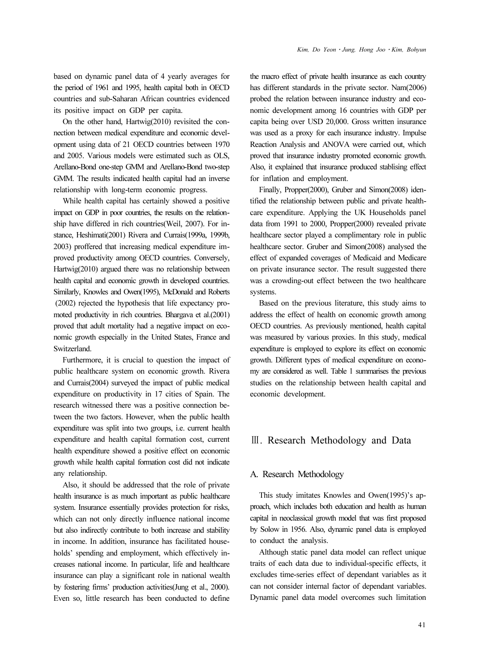based on dynamic panel data of 4 yearly averages for the period of 1961 and 1995, health capital both in OECD countries and sub-Saharan African countries evidenced its positive impact on GDP per capita.

On the other hand, Hartwig(2010) revisited the connection between medical expenditure and economic development using data of 21 OECD countries between 1970 and 2005. Various models were estimated such as OLS, Arellano-Bond one-step GMM and Arellano-Bond two-step GMM. The results indicated health capital had an inverse relationship with long-term economic progress.

While health capital has certainly showed a positive impact on GDP in poor countries, the results on the relationship have differed in rich countries(Weil, 2007). For instance, Heshimati(2001) Rivera and Currais(1999a, 1999b, 2003) proffered that increasing medical expenditure improved productivity among OECD countries. Conversely, Hartwig(2010) argued there was no relationship between health capital and economic growth in developed countries. Similarly, Knowles and Owen(1995), McDonald and Roberts (2002) rejected the hypothesis that life expectancy promoted productivity in rich countries. Bhargava et al.(2001) proved that adult mortality had a negative impact on economic growth especially in the United States, France and Switzerland.

Furthermore, it is crucial to question the impact of public healthcare system on economic growth. Rivera and Currais(2004) surveyed the impact of public medical expenditure on productivity in 17 cities of Spain. The research witnessed there was a positive connection between the two factors. However, when the public health expenditure was split into two groups, i.e. current health expenditure and health capital formation cost, current health expenditure showed a positive effect on economic growth while health capital formation cost did not indicate any relationship.

Also, it should be addressed that the role of private health insurance is as much important as public healthcare system. Insurance essentially provides protection for risks, which can not only directly influence national income but also indirectly contribute to both increase and stability in income. In addition, insurance has facilitated households' spending and employment, which effectively increases national income. In particular, life and healthcare insurance can play a significant role in national wealth by fostering firms' production activities(Jung et al., 2000). Even so, little research has been conducted to define the macro effect of private health insurance as each country has different standards in the private sector. Nam(2006) probed the relation between insurance industry and economic development among 16 countries with GDP per capita being over USD 20,000. Gross written insurance was used as a proxy for each insurance industry. Impulse Reaction Analysis and ANOVA were carried out, which proved that insurance industry promoted economic growth. Also, it explained that insurance produced stablising effect for inflation and employment.

Finally, Propper(2000), Gruber and Simon(2008) identified the relationship between public and private healthcare expenditure. Applying the UK Households panel data from 1991 to 2000, Propper(2000) revealed private healthcare sector played a complimentary role in public healthcare sector. Gruber and Simon(2008) analysed the effect of expanded coverages of Medicaid and Medicare on private insurance sector. The result suggested there was a crowding-out effect between the two healthcare systems.

Based on the previous literature, this study aims to address the effect of health on economic growth among OECD countries. As previously mentioned, health capital was measured by various proxies. In this study, medical expenditure is employed to explore its effect on economic growth. Different types of medical expenditure on economy are considered as well. Table 1 summarises the previous studies on the relationship between health capital and economic development.

## Ⅲ. Research Methodology and Data

#### A. Research Methodology

This study imitates Knowles and Owen(1995)'s approach, which includes both education and health as human capital in neoclassical growth model that was first proposed by Solow in 1956. Also, dynamic panel data is employed to conduct the analysis.

Although static panel data model can reflect unique traits of each data due to individual-specific effects, it excludes time-series effect of dependant variables as it can not consider internal factor of dependant variables. Dynamic panel data model overcomes such limitation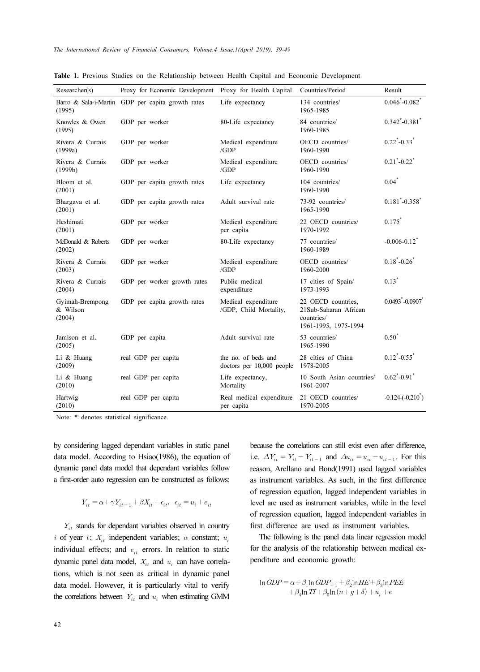| Researcher(s)                         | Proxy for Economic Development Proxy for Health Capital |                                                  | Countries/Period                                                                  | Result                              |
|---------------------------------------|---------------------------------------------------------|--------------------------------------------------|-----------------------------------------------------------------------------------|-------------------------------------|
| (1995)                                | Barro & Sala-i-Martin GDP per capita growth rates       | Life expectancy                                  | 134 countries/<br>1965-1985                                                       | $0.046^{\ast}$ -0.082 $^{\ast}$     |
| Knowles & Owen<br>(1995)              | GDP per worker                                          | 80-Life expectancy                               | 84 countries/<br>1960-1985                                                        | $0.342 - 0.381$                     |
| Rivera & Currais<br>(1999a)           | GDP per worker                                          | Medical expenditure<br>/GDP                      | OECD countries/<br>1960-1990                                                      | $0.22^{\ast}$ -0.33 $^{\ast}$       |
| Rivera & Currais<br>(1999b)           | GDP per worker                                          | Medical expenditure<br>/GDP                      | OECD countries/<br>1960-1990                                                      | $0.21^{\degree}$ -0.22 $^{\degree}$ |
| Bloom et al.<br>(2001)                | GDP per capita growth rates                             | Life expectancy                                  | 104 countries/<br>1960-1990                                                       | $0.04*$                             |
| Bhargava et al.<br>(2001)             | GDP per capita growth rates                             | Adult survival rate                              | 73-92 countries/<br>1965-1990                                                     | $0.181 - 0.358$                     |
| Heshimati<br>(2001)                   | GDP per worker                                          | Medical expenditure<br>per capita                | 22 OECD countries/<br>1970-1992                                                   | 0.175                               |
| McDonald & Roberts<br>(2002)          | GDP per worker                                          | 80-Life expectancy                               | 77 countries/<br>1960-1989                                                        | $-0.006 - 0.12$ <sup>*</sup>        |
| Rivera & Currais<br>(2003)            | GDP per worker                                          | Medical expenditure<br>/GDP                      | OECD countries/<br>1960-2000                                                      | $0.18^{\ast}$ -0.26 <sup>*</sup>    |
| Rivera & Currais<br>(2004)            | GDP per worker growth rates                             | Public medical<br>expenditure                    | 17 cities of Spain/<br>1973-1993                                                  | $0.13*$                             |
| Gyimah-Brempong<br>& Wilson<br>(2004) | GDP per capita growth rates                             | Medical expenditure<br>/GDP, Child Mortality,    | 22 OECD countries,<br>21Sub-Saharan African<br>countries/<br>1961-1995, 1975-1994 | $0.0493 - 0.0907$                   |
| Jamison et al.<br>(2005)              | GDP per capita                                          | Adult survival rate                              | 53 countries/<br>1965-1990                                                        | $0.50^*$                            |
| Li & Huang<br>(2009)                  | real GDP per capita                                     | the no. of beds and<br>doctors per 10,000 people | 28 cities of China<br>1978-2005                                                   | $0.12^{\ast}$ -0.55 $^{\ast}$       |
| Li & Huang<br>(2010)                  | real GDP per capita                                     | Life expectancy,<br>Mortality                    | 10 South Asian countries/<br>1961-2007                                            | $0.62^{\degree}$ -0.91 <sup>*</sup> |
| Hartwig<br>(2010)                     | real GDP per capita                                     | Real medical expenditure<br>per capita           | 21 OECD countries/<br>1970-2005                                                   | $-0.124(-0.210)$                    |

Table 1. Previous Studies on the Relationship between Health Capital and Economic Development

Note: \* denotes statistical significance.

by considering lagged dependant variables in static panel data model. According to Hsiao(1986), the equation of dynamic panel data model that dependant variables follow a first-order auto regression can be constructed as follows:

$$
Y_{it}=\alpha+\gamma Y_{it-1}+\beta X_{it}+\epsilon_{it},\ \ \epsilon_{it}=u_i+e_{it}
$$

 $Y_{it}$  stands for dependant variables observed in country i of year t;  $X_{it}$  independent variables;  $\alpha$  constant;  $u_i$ individual effects; and  $e_{it}$  errors. In relation to static dynamic panel data model,  $X_{it}$  and  $u_i$  can have correlations, which is not seen as critical in dynamic panel data model. However, it is particularly vital to verify the correlations between  $Y_{it}$  and  $u_i$  when estimating GMM

because the correlations can still exist even after difference, i.e.  $\Delta Y_{it} = Y_{it} - Y_{it-1}$  and  $\Delta u_{it} = u_{it} - u_{it-1}$ . For this reason, Arellano and Bond(1991) used lagged variables as instrument variables. As such, in the first difference of regression equation, lagged independent variables in level are used as instrument variables, while in the level of regression equation, lagged independent variables in first difference are used as instrument variables.

The following is the panel data linear regression model for the analysis of the relationship between medical expenditure and economic growth:

$$
\begin{array}{l} \ln GDP=\alpha +\beta _{1} {\ln GDP_{-1}}+\beta _{2} {\ln HE}+\beta _{3} {\ln PEE}\\+\beta _{4} {\ln TI}+\beta _{5} {\ln \left( n+g+\delta \right)}+u_{i}+e \end{array}
$$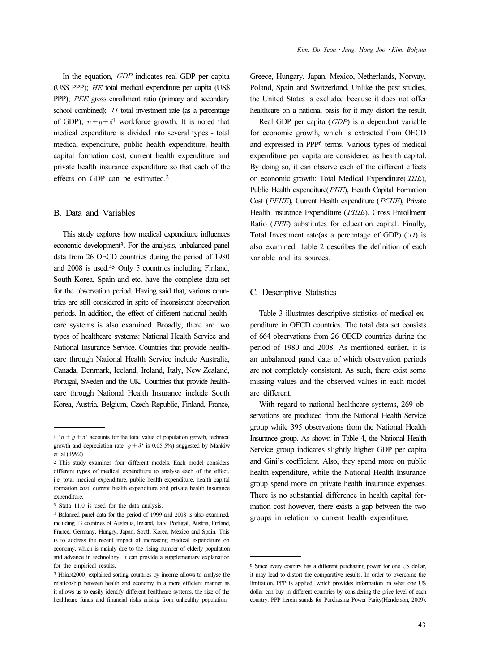In the equation,  $GDP$  indicates real GDP per capita (US\$ PPP);  $HE$  total medical expenditure per capita (US\$ PPP); *PEE* gross enrollment ratio (primary and secondary school combined); TI total investment rate (as a percentage of GDP);  $n+g+\delta^1$  workforce growth. It is noted that medical expenditure is divided into several types - total medical expenditure, public health expenditure, health capital formation cost, current health expenditure and private health insurance expenditure so that each of the effects on GDP can be estimated.<sup>2</sup>

#### B. Data and Variables

This study explores how medical expenditure influences economic development3. For the analysis, unbalanced panel data from 26 OECD countries during the period of 1980 and 2008 is used.45 Only 5 countries including Finland, South Korea, Spain and etc. have the complete data set for the observation period. Having said that, various countries are still considered in spite of inconsistent observation periods. In addition, the effect of different national healthcare systems is also examined. Broadly, there are two types of healthcare systems: National Health Service and National Insurance Service. Countries that provide healthcare through National Health Service include Australia, Canada, Denmark, Iceland, Ireland, Italy, New Zealand, Portugal, Sweden and the UK. Countries that provide healthcare through National Health Insurance include South Korea, Austria, Belgium, Czech Republic, Finland, France,

Greece, Hungary, Japan, Mexico, Netherlands, Norway, Poland, Spain and Switzerland. Unlike the past studies, the United States is excluded because it does not offer healthcare on a national basis for it may distort the result.

Real GDP per capita  $(GDP)$  is a dependant variable for economic growth, which is extracted from OECD and expressed in PPP6 terms. Various types of medical expenditure per capita are considered as health capital. By doing so, it can observe each of the different effects on economic growth: Total Medical Expenditure(*THE*), Public Health expenditure(PHE), Health Capital Formation Cost (PFHE), Current Health expenditure (PCHE), Private Health Insurance Expenditure (PIHE). Gross Enrollment Ratio ( $PEE$ ) substitutes for education capital. Finally, Total Investment rate(as a percentage of GDP)  $(TT)$  is also examined. Table 2 describes the definition of each variable and its sources.

#### C. Descriptive Statistics

Table 3 illustrates descriptive statistics of medical expenditure in OECD countries. The total data set consists of 664 observations from 26 OECD countries during the period of 1980 and 2008. As mentioned earlier, it is an unbalanced panel data of which observation periods are not completely consistent. As such, there exist some missing values and the observed values in each model are different.

With regard to national healthcare systems, 269 observations are produced from the National Health Service group while 395 observations from the National Health Insurance group. As shown in Table 4, the National Health Service group indicates slightly higher GDP per capita and Gini's coefficient. Also, they spend more on public health expenditure, while the National Health Insurance group spend more on private health insurance expenses. There is no substantial difference in health capital formation cost however, there exists a gap between the two groups in relation to current health expenditure.

<sup>&</sup>lt;sup>1</sup> ' $n + q + \delta$ ' accounts for the total value of population growth, technical growth and depreciation rate.  $q + \delta'$  is 0.05(5%) suggested by Mankiw et al.(1992)

<sup>2</sup> This study examines four different models. Each model considers different types of medical expenditure to analyse each of the effect, i.e. total medical expenditure, public health expenditure, health capital formation cost, current health expenditure and private health insurance expenditure.

<sup>3</sup> Stata 11.0 is used for the data analysis.

<sup>4</sup> Balanced panel data for the period of 1999 and 2008 is also examined, including 13 countries of Australia, Ireland, Italy, Portugal, Austria, Finland, France, Germany, Hungry, Japan, South Korea, Mexico and Spain. This is to address the recent impact of increasing medical expenditure on economy, which is mainly due to the rising number of elderly population and advance in technology. It can provide a supplementary explanation for the empirical results.

<sup>5</sup> Hsiao(2000) explained sorting countries by income allows to analyse the relationship between health and economy in a more efficient manner as it allows us to easily identify different healthcare systems, the size of the healthcare funds and financial risks arising from unhealthy population.

<sup>6</sup> Since every country has a different purchasing power for one US dollar, it may lead to distort the comparative results. In order to overcome the limitation, PPP is applied, which provides information on what one US dollar can buy in different countries by considering the price level of each country. PPP herein stands for Purchasing Power Parity(Henderson, 2009).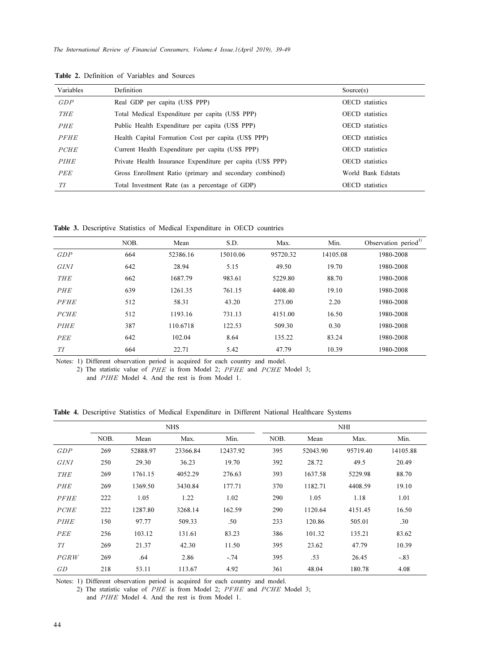| Variables   | <b>Definition</b>                                          | Source(s)              |
|-------------|------------------------------------------------------------|------------------------|
| GDP         | Real GDP per capita (US\$ PPP)                             | <b>OECD</b> statistics |
| <b>THE</b>  | Total Medical Expenditure per capita (US\$ PPP)            | <b>OECD</b> statistics |
| PHE         | Public Health Expenditure per capita (US\$ PPP)            | <b>OECD</b> statistics |
| <b>PFHE</b> | Health Capital Formation Cost per capita (US\$ PPP)        | <b>OECD</b> statistics |
| <b>PCHE</b> | Current Health Expenditure per capita (US\$ PPP)           | <b>OECD</b> statistics |
| <b>PIHE</b> | Private Health Insurance Expenditure per capita (US\$ PPP) | <b>OECD</b> statistics |
| PEE         | Gross Enrollment Ratio (primary and secondary combined)    | World Bank Edstats     |
| TІ          | Total Investment Rate (as a percentage of GDP)             | <b>OECD</b> statistics |

Table 2. Definition of Variables and Sources

Table 3. Descriptive Statistics of Medical Expenditure in OECD countries

|             | NOB. | Mean     | S.D.     | Max.     | Min.     | Observation period <sup>1)</sup> |
|-------------|------|----------|----------|----------|----------|----------------------------------|
| GDP         | 664  | 52386.16 | 15010.06 | 95720.32 | 14105.08 | 1980-2008                        |
| <i>GINI</i> | 642  | 28.94    | 5.15     | 49.50    | 19.70    | 1980-2008                        |
| <b>THE</b>  | 662  | 1687.79  | 983.61   | 5229.80  | 88.70    | 1980-2008                        |
| PHE         | 639  | 1261.35  | 761.15   | 4408.40  | 19.10    | 1980-2008                        |
| <b>PFHE</b> | 512  | 58.31    | 43.20    | 273.00   | 2.20     | 1980-2008                        |
| <b>PCHE</b> | 512  | 1193.16  | 731.13   | 4151.00  | 16.50    | 1980-2008                        |
| <b>PIHE</b> | 387  | 110.6718 | 122.53   | 509.30   | 0.30     | 1980-2008                        |
| PEE         | 642  | 102.04   | 8.64     | 135.22   | 83.24    | 1980-2008                        |
| TI          | 664  | 22.71    | 5.42     | 47.79    | 10.39    | 1980-2008                        |

Notes: 1) Different observation period is acquired for each country and model.

2) The statistic value of  $PHE$  is from Model 2;  $PFHE$  and  $PCHE$  Model 3; and PIHE Model 4. And the rest is from Model 1.

Table 4. Descriptive Statistics of Medical Expenditure in Different National Healthcare Systems

|             | <b>NHS</b> |          |          | <b>NHI</b> |      |          |          |          |
|-------------|------------|----------|----------|------------|------|----------|----------|----------|
|             | NOB.       | Mean     | Max.     | Min.       | NOB. | Mean     | Max.     | Min.     |
| GDP         | 269        | 52888.97 | 23366.84 | 12437.92   | 395  | 52043.90 | 95719.40 | 14105.88 |
| <i>GINI</i> | 250        | 29.30    | 36.23    | 19.70      | 392  | 28.72    | 49.5     | 20.49    |
| <b>THE</b>  | 269        | 1761.15  | 4052.29  | 276.63     | 393  | 1637.58  | 5229.98  | 88.70    |
| <b>PHE</b>  | 269        | 1369.50  | 3430.84  | 177.71     | 370  | 1182.71  | 4408.59  | 19.10    |
| <b>PFHE</b> | 222        | 1.05     | 1.22     | 1.02       | 290  | 1.05     | 1.18     | 1.01     |
| <b>PCHE</b> | 222        | 1287.80  | 3268.14  | 162.59     | 290  | 1120.64  | 4151.45  | 16.50    |
| <b>PIHE</b> | 150        | 97.77    | 509.33   | .50        | 233  | 120.86   | 505.01   | .30      |
| <b>PEE</b>  | 256        | 103.12   | 131.61   | 83.23      | 386  | 101.32   | 135.21   | 83.62    |
| TІ          | 269        | 21.37    | 42.30    | 11.50      | 395  | 23.62    | 47.79    | 10.39    |
| PGRW        | 269        | .64      | 2.86     | $-.74$     | 395  | .53      | 26.45    | $-.83$   |
| GD          | 218        | 53.11    | 113.67   | 4.92       | 361  | 48.04    | 180.78   | 4.08     |

Notes: 1) Different observation period is acquired for each country and model.

2) The statistic value of  $PHE$  is from Model 2;  $PFHE$  and  $PCHE$  Model 3; and PIHE Model 4. And the rest is from Model 1.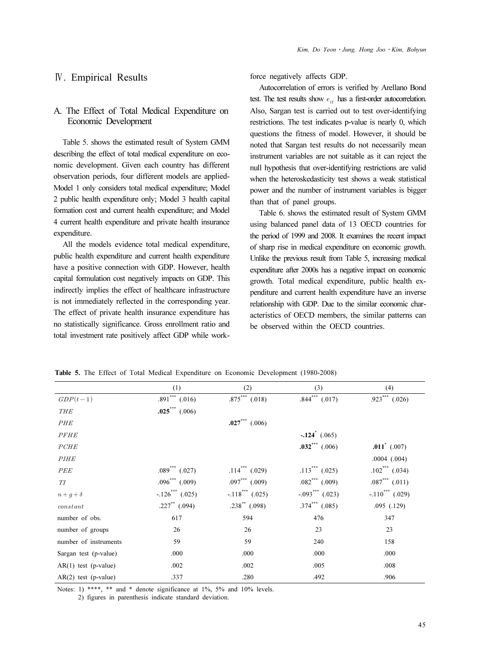## Ⅳ. Empirical Results

## A. The Effect of Total Medical Expenditure on Economic Development

Table 5. shows the estimated result of System GMM describing the effect of total medical expenditure on economic development. Given each country has different observation periods, four different models are applied-Model 1 only considers total medical expenditure; Model 2 public health expenditure only; Model 3 health capital formation cost and current health expenditure; and Model 4 current health expenditure and private health insurance expenditure.

All the models evidence total medical expenditure, public health expenditure and current health expenditure have a positive connection with GDP. However, health capital formulation cost negatively impacts on GDP. This indirectly implies the effect of healthcare infrastructure is not immediately reflected in the corresponding year. The effect of private health insurance expenditure has no statistically significance. Gross enrollment ratio and total investment rate positively affect GDP while workforce negatively affects GDP.

Autocorrelation of errors is verified by Arellano Bond test. The test results show  $e_{it}$  has a first-order autocorrelation. Also, Sargan test is carried out to test over-identifying restrictions. The test indicates p-value is nearly 0, which questions the fitness of model. However, it should be noted that Sargan test results do not necessarily mean instrument variables are not suitable as it can reject the null hypothesis that over-identifying restrictions are valid when the heteroskedasticity test shows a weak statistical power and the number of instrument variables is bigger than that of panel groups.

Table 6. shows the estimated result of System GMM using balanced panel data of 13 OECD countries for the period of 1999 and 2008. It examines the recent impact of sharp rise in medical expenditure on economic growth. Unlike the previous result from Table 5, increasing medical expenditure after 2000s has a negative impact on economic growth. Total medical expenditure, public health expenditure and current health expenditure have an inverse relationship with GDP. Due to the similar economic characteristics of OECD members, the similar patterns can be observed within the OECD countries.

|                        | (1)                            | (2)                            | (3)                            | (4)                            |
|------------------------|--------------------------------|--------------------------------|--------------------------------|--------------------------------|
| $GDP(t-1)$             | $.891$ *** $(.016)$            | $.875***$ $(.018)$             | $.844***$ $(.017)$             | $.923***$ $(.026)$             |
| <b>THE</b>             | $.025$ (.006)                  |                                |                                |                                |
| PHE                    |                                | $.027$ *** (.006)              |                                |                                |
| <b>PFHE</b>            |                                |                                | $-124^{\circ}$ (.065)          |                                |
| PCHE                   |                                |                                | $.032$ <sup>***</sup> (.006)   | $.011^*$ (.007)                |
| <b>PIHE</b>            |                                |                                |                                | $.0004$ $(.004)$               |
| PEE                    | $.089$ <sup>***</sup> $(.027)$ | $.114$ <sup>***</sup> (.029)   | $.113$ <sup>***</sup> (.025)   | $.102$ <sup>***</sup> $(.034)$ |
| T I                    | $.096$ <sup>***</sup> $(.009)$ | $.097$ <sup>***</sup> $(.009)$ | $.082$ <sup>***</sup> $(.009)$ | $.087$ $(.011)$                |
| $n+q+\delta$           | $-.126$ (.025)                 | $-.118$ $(.025)$               | $-.093$ <sup>***</sup> (.023)  | $-.110$ <sup>***</sup> (.029)  |
| constant               | $.227$ (.094)                  | $.238^{**}$ (.098)             | $.374$ <sup>***</sup> $(.085)$ | .095(.129)                     |
| number of obs.         | 617                            | 594                            | 476                            | 347                            |
| number of groups       | 26                             | 26                             | 23                             | 23                             |
| number of instruments  | 59                             | 59                             | 240                            | 158                            |
| Sargan test (p-value)  | .000                           | .000                           | .000                           | .000                           |
| $AR(1)$ test (p-value) | .002                           | .002                           | .005                           | .008                           |
| $AR(2)$ test (p-value) | .337                           | .280                           | .492                           | .906                           |

Table 5. The Effect of Total Medical Expenditure on Economic Development (1980-2008)

Notes: 1) \*\*\*\*, \*\* and \* denote significance at 1%, 5% and 10% levels.

2) figures in parenthesis indicate standard deviation.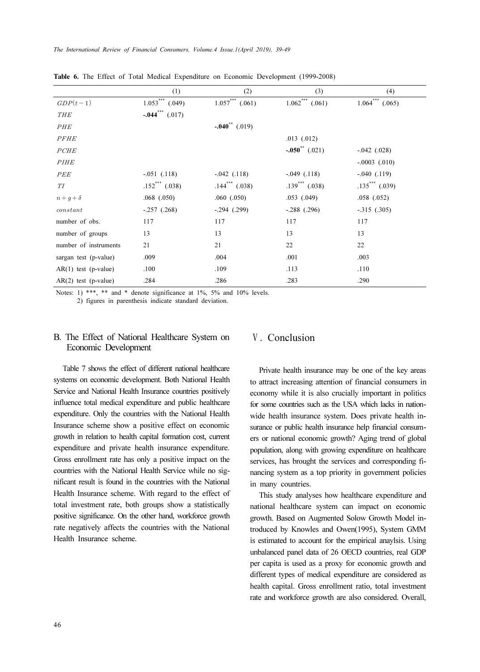|                        | (1)                           | (2)               | (3)                             | (4)                 |
|------------------------|-------------------------------|-------------------|---------------------------------|---------------------|
| $GDP(t-1)$             | $1.053***$ (.049)             | $1.057***$ (.061) | $1.062$ <sup>***</sup> $(.061)$ | $1.064***$ $(.065)$ |
| <b>THE</b>             | $-.044$ <sup>***</sup> (.017) |                   |                                 |                     |
| <i>PHE</i>             |                               | $-.040$ $(019)$   |                                 |                     |
| <b>PFHE</b>            |                               |                   | $.013$ $(.012)$                 |                     |
| <b>PCHE</b>            |                               |                   | $-.050$ $(.021)$                | $-.042$ $(.028)$    |
| <i>PIHE</i>            |                               |                   |                                 | $-.0003$ $(.010)$   |
| PEE                    | $-.051$ $(.118)$              | $-.042$ $(.118)$  | $-.049$ $(.118)$                | $-.040$ $(.119)$    |
| TI                     | $.152$ <sup>***</sup> (.038)  | $.144$ (.038)     | $.139$ <sup>***</sup> (.038)    | $.135***$ $(.039)$  |
| $n+q+\delta$           | $.068$ $(.050)$               | $.060$ $(.050)$   | $.053$ $(.049)$                 | $.058$ $(.052)$     |
| constant               | $-.257(.268)$                 | $-294$ $(.299)$   | $-.288$ $(.296)$                | $-.315$ $(.305)$    |
| number of obs.         | 117                           | 117               | 117                             | 117                 |
| number of groups       | 13                            | 13                | 13                              | 13                  |
| number of instruments  | 21                            | 21                | 22                              | 22                  |
| sargan test (p-value)  | .009                          | .004              | .001                            | .003                |
| $AR(1)$ test (p-value) | .100                          | .109              | .113                            | .110                |
| $AR(2)$ test (p-value) | .284                          | .286              | .283                            | .290                |

Table 6. The Effect of Total Medical Expenditure on Economic Development (1999-2008)

Notes: 1) \*\*\*, \*\* and \* denote significance at 1%, 5% and 10% levels. 2) figures in parenthesis indicate standard deviation.

## B. The Effect of National Healthcare System on Economic Development

Table 7 shows the effect of different national healthcare systems on economic development. Both National Health Service and National Health Insurance countries positively influence total medical expenditure and public healthcare expenditure. Only the countries with the National Health Insurance scheme show a positive effect on economic growth in relation to health capital formation cost, current expenditure and private health insurance expenditure. Gross enrollment rate has only a positive impact on the countries with the National Health Service while no significant result is found in the countries with the National Health Insurance scheme. With regard to the effect of total investment rate, both groups show a statistically positive significance. On the other hand, workforce growth rate negatively affects the countries with the National Health Insurance scheme.

# Ⅴ. Conclusion

Private health insurance may be one of the key areas to attract increasing attention of financial consumers in economy while it is also crucially important in politics for some countries such as the USA which lacks in nationwide health insurance system. Does private health insurance or public health insurance help financial consumers or national economic growth? Aging trend of global population, along with growing expenditure on healthcare services, has brought the services and corresponding financing system as a top priority in government policies in many countries.

This study analyses how healthcare expenditure and national healthcare system can impact on economic growth. Based on Augmented Solow Growth Model introduced by Knowles and Owen(1995), System GMM is estimated to account for the empirical anaylsis. Using unbalanced panel data of 26 OECD countries, real GDP per capita is used as a proxy for economic growth and different types of medical expenditure are considered as health capital. Gross enrollment ratio, total investment rate and workforce growth are also considered. Overall,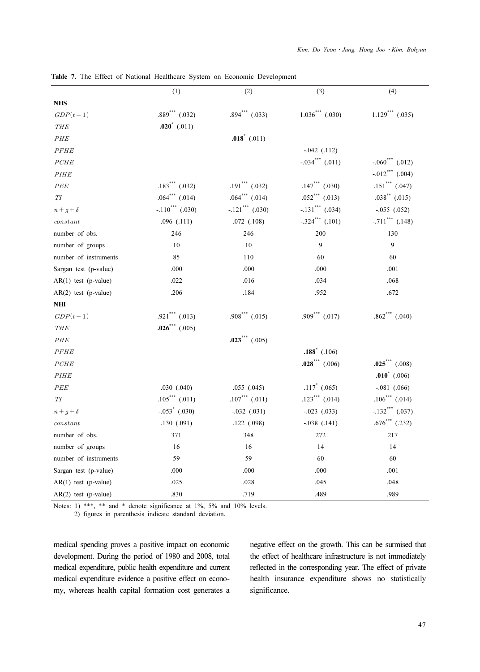|                        | (1)                            | (2)                            | (3)                            | (4)                             |
|------------------------|--------------------------------|--------------------------------|--------------------------------|---------------------------------|
| <b>NHS</b>             |                                |                                |                                |                                 |
| $GDP(t-1)$             | $.889***$ $(.032)$             | $.894$ <sup>***</sup> $(.033)$ | $1.036$ *** $(.030)$           | $1.129$ <sup>***</sup> (.035)   |
| THE                    | $.020^*$ (.011)                |                                |                                |                                 |
| <b>PHE</b>             |                                | $.018^*$ (.011)                |                                |                                 |
| PFHE                   |                                |                                | $-0.042$ $(.112)$              |                                 |
| PCHE                   |                                |                                | $-.034$ $(011)$                | $-.060$ <sup>***</sup> $(.012)$ |
| <b>PIHE</b>            |                                |                                |                                | $-.012$ *** (.004)              |
| PEE                    | $.183$ <sup>***</sup> (.032)   | $.191$ <sup>***</sup> (.032)   | $.147$ (.030)                  | $.151$ *** (.047)               |
| TI                     | $.064$ <sup>***</sup> $(.014)$ | $.064$ <sup>***</sup> $(.014)$ | $.052$ <sup>***</sup> (.013)   | $.038^{**}$ (.015)              |
| $n+g+\delta$           | $-.110$ <sup>***</sup> (.030)  | $-.121$ <sup>***</sup> (.030)  | $-.131$ *** $(.034)$           | $-.055$ $(.052)$                |
| constant               | .096(.111)                     | .072(.108)                     | $-.324$ *** (.101)             | $-.711$ <sup>***</sup> $(.148)$ |
| number of obs.         | 246                            | 246                            | 200                            | 130                             |
| number of groups       | 10                             | 10                             | 9                              | 9                               |
| number of instruments  | 85                             | 110                            | 60                             | 60                              |
| Sargan test (p-value)  | .000                           | .000                           | .000                           | .001                            |
| $AR(1)$ test (p-value) | .022                           | .016                           | .034                           | .068                            |
| $AR(2)$ test (p-value) | .206                           | .184                           | .952                           | .672                            |
| NHI                    |                                |                                |                                |                                 |
| $GDP(t-1)$             | $.921$ *** $(.013)$            | $.908$ <sup>***</sup> $(.015)$ | $.909$ <sup>***</sup> $(.017)$ | $.862$ <sup>***</sup> $(.040)$  |
| THE                    | .026*** $(.005)$               |                                |                                |                                 |
| PHE                    |                                | $.023$ <sup>***</sup> (.005)   |                                |                                 |
| <b>PFHE</b>            |                                |                                | $.188^*$ (.106)                |                                 |
| PCHE                   |                                |                                | $.028$ *** (.006)              | $.025$ *** (.008)               |
| <b>PIHE</b>            |                                |                                |                                | $.010^*$ (.006)                 |
| $PEE$                  | .030 (.040)                    | .055(.045)                     | $.117^*$ (.065)                | $-.081$ $(.066)$                |
| TI                     | $.105***$ $(.011)$             | $.107***$ $(.011)$             | $.123$ *** $(.014)$            | $.106***$ (.014)                |
| $n+g+\delta$           | $-.053$ $(.030)$               | $-.032$ $(.031)$               | $-.023$ $(.033)$               | $-.132$ <sup>***</sup> (.037)   |
| constant               | .130(.091)                     | .122 (.098)                    | $-.038$ $(.141)$               | $.676^{***}$ (.232)             |
| number of obs.         | 371                            | 348                            | 272                            | 217                             |
| number of groups       | 16                             | 16                             | 14                             | 14                              |
| number of instruments  | 59                             | 59                             | 60                             | 60                              |
| Sargan test (p-value)  | .000                           | .000                           | .000                           | .001                            |
| $AR(1)$ test (p-value) | .025                           | .028                           | .045                           | .048                            |
| $AR(2)$ test (p-value) | .830                           | .719                           | .489                           | .989                            |

Table 7. The Effect of National Healthcare System on Economic Development

Notes: 1) \*\*\*, \*\* and \* denote significance at 1%, 5% and 10% levels.

2) figures in parenthesis indicate standard deviation.

medical spending proves a positive impact on economic development. During the period of 1980 and 2008, total medical expenditure, public health expenditure and current medical expenditure evidence a positive effect on economy, whereas health capital formation cost generates a

negative effect on the growth. This can be surmised that the effect of healthcare infrastructure is not immediately reflected in the corresponding year. The effect of private health insurance expenditure shows no statistically significance.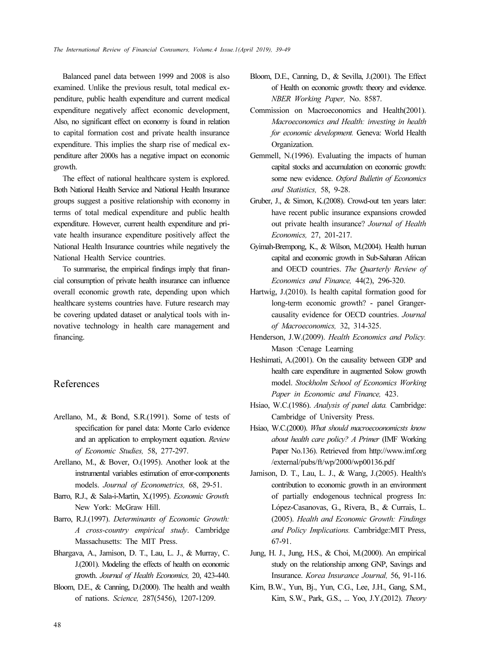Balanced panel data between 1999 and 2008 is also examined. Unlike the previous result, total medical expenditure, public health expenditure and current medical expenditure negatively affect economic development, Also, no significant effect on economy is found in relation to capital formation cost and private health insurance expenditure. This implies the sharp rise of medical expenditure after 2000s has a negative impact on economic growth.

The effect of national healthcare system is explored. Both National Health Service and National Health Insurance groups suggest a positive relationship with economy in terms of total medical expenditure and public health expenditure. However, current health expenditure and private health insurance expenditure positively affect the National Health Insurance countries while negatively the National Health Service countries.

To summarise, the empirical findings imply that financial consumption of private health insurance can influence overall economic growth rate, depending upon which healthcare systems countries have. Future research may be covering updated dataset or analytical tools with innovative technology in health care management and financing.

# References

- Arellano, M., & Bond, S.R.(1991). Some of tests of specification for panel data: Monte Carlo evidence and an application to employment equation. Review of Economic Studies, 58, 277-297.
- Arellano, M., & Bover, O.(1995). Another look at the instrumental variables estimation of error-components models. Journal of Econometrics, 68, 29-51.
- Barro, R.J., & Sala-i-Martin, X.(1995). Economic Growth. New York: McGraw Hill.
- Barro, R.J.(1997). Determinants of Economic Growth: A cross-country empirical study. Cambridge Massachusetts: The MIT Press.
- Bhargava, A., Jamison, D. T., Lau, L. J., & Murray, C. J.(2001). Modeling the effects of health on economic growth. Journal of Health Economics, 20, 423-440.
- Bloom, D.E., & Canning, D.(2000). The health and wealth of nations. Science, 287(5456), 1207-1209.
- Bloom, D.E., Canning, D., & Sevilla, J.(2001). The Effect of Health on economic growth: theory and evidence. NBER Working Paper, No. 8587.
- Commission on Macroeconomics and Health(2001). Macroeconomics and Health: investing in health for economic development. Geneva: World Health Organization.
- Gemmell, N.(1996). Evaluating the impacts of human capital stocks and accumulation on economic growth: some new evidence. Oxford Bulletin of Economics and Statistics, 58, 9-28.
- Gruber, J., & Simon, K.(2008). Crowd-out ten years later: have recent public insurance expansions crowded out private health insurance? Journal of Health Economics, 27, 201-217.
- Gyimah-Brempong, K., & Wilson, M.(2004). Health human capital and economic growth in Sub-Saharan African and OECD countries. The Quarterly Review of Economics and Finance, 44(2), 296-320.
- Hartwig, J.(2010). Is health capital formation good for long-term economic growth? - panel Grangercausality evidence for OECD countries. Journal of Macroeconomics, 32, 314-325.
- Henderson, J.W.(2009). Health Economics and Policy. Mason :Cenage Learning
- Heshimati, A.(2001). On the causality between GDP and health care expenditure in augmented Solow growth model. Stockholm School of Economics Working Paper in Economic and Finance, 423.
- Hsiao, W.C.(1986). Analysis of panel data. Cambridge: Cambridge of University Press.
- Hsiao, W.C.(2000). What should macroecoonomicsts know about health care policy? A Primer (IMF Working Paper No.136). Retrieved from http://www.imf.org /external/pubs/ft/wp/2000/wp00136.pdf
- Jamison, D. T., Lau, L. J., & Wang, J.(2005). Health's contribution to economic growth in an environment of partially endogenous technical progress In: López-Casanovas, G., Rivera, B., & Currais, L. (2005). Health and Economic Growth: Findings and Policy Implications. Cambridge:MIT Press, 67-91.
- Jung, H. J., Jung, H.S., & Choi, M.(2000). An empirical study on the relationship among GNP, Savings and Insurance. Korea Insurance Journal, 56, 91-116.
- Kim, B.W., Yun, Bj., Yun, C.G., Lee, J.H., Gang, S.M., Kim, S.W., Park, G.S., ... Yoo, J.Y.(2012). Theory